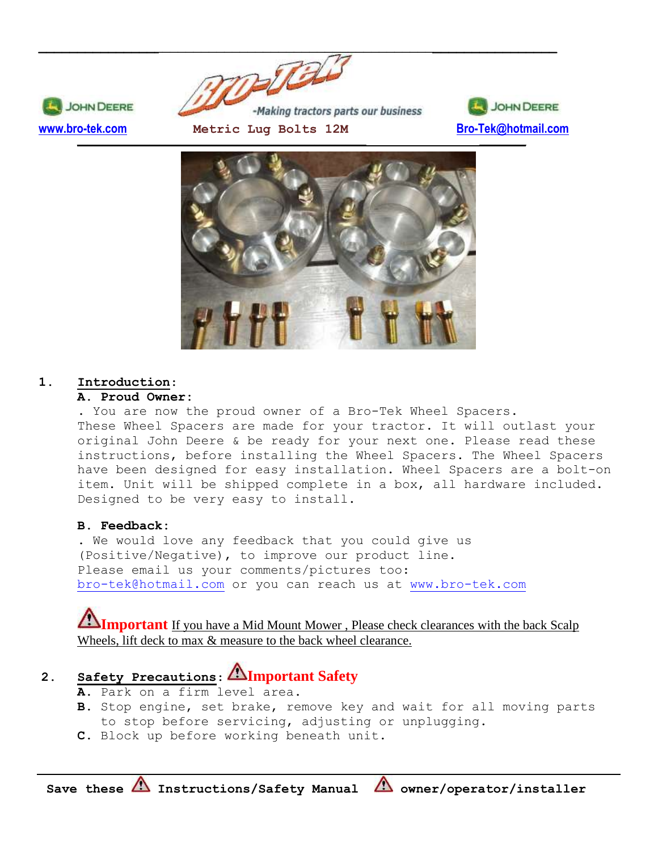



# **1. Introduction**:

**JOHN DEERE** 

# **A. Proud Owner:**

. You are now the proud owner of a Bro-Tek Wheel Spacers. These Wheel Spacers are made for your tractor. It will outlast your original John Deere & be ready for your next one. Please read these instructions, before installing the Wheel Spacers. The Wheel Spacers have been designed for easy installation. Wheel Spacers are a bolt-on item. Unit will be shipped complete in a box, all hardware included. Designed to be very easy to install.

# **B. Feedback:**

. We would love any feedback that you could give us (Positive/Negative), to improve our product line. Please email us your comments/pictures too: [bro-tek@hotmail.com](mailto:bro-tek@hotmail.com) or you can reach us at [www.bro-tek.com](http://www.bro-tek.com/)

# **Important** If you have a Mid Mount Mower, Please check clearances with the back Scalp Wheels, lift deck to max  $\&$  measure to the back wheel clearance.

# **2. Safety Precautions**: **Important Safety**

- **A.** Park on a firm level area.
- **B.** Stop engine, set brake, remove key and wait for all moving parts to stop before servicing, adjusting or unplugging.
- **C.** Block up before working beneath unit.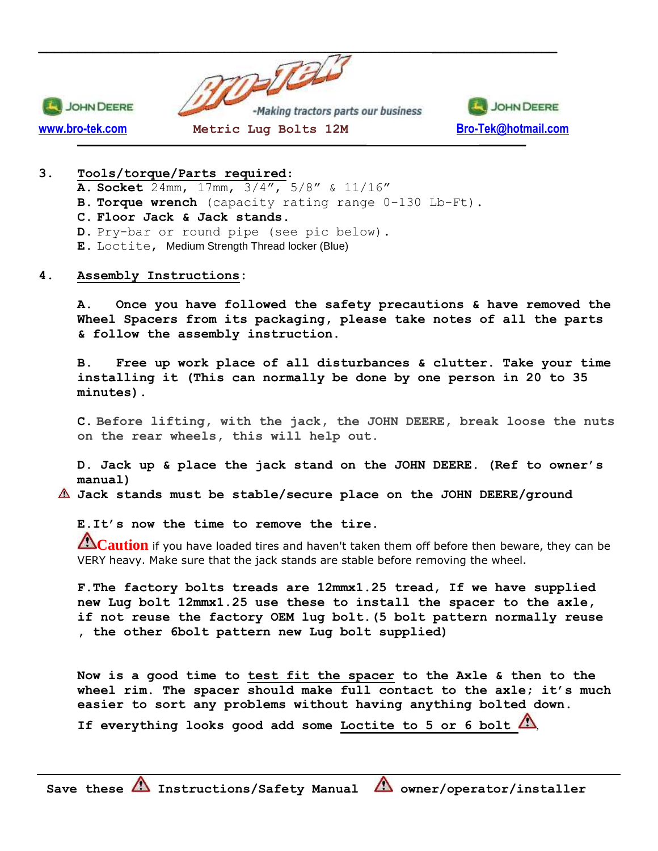

### **3. Tools/torque/Parts required**:

**A. Socket** 24mm, 17mm, 3/4", 5/8" & 11/16" **B. Torque wrench** (capacity rating range 0-130 Lb-Ft). **C. Floor Jack & Jack stands. D.** Pry-bar or round pipe (see pic below). **E.** Loctite, Medium Strength Thread locker (Blue)

#### **4. Assembly Instructions:**

**A. Once you have followed the safety precautions & have removed the Wheel Spacers from its packaging, please take notes of all the parts & follow the assembly instruction.**

**B. Free up work place of all disturbances & clutter. Take your time installing it (This can normally be done by one person in 20 to 35 minutes).**

**C. Before lifting, with the jack, the JOHN DEERE, break loose the nuts on the rear wheels, this will help out.**

**D. Jack up & place the jack stand on the JOHN DEERE. (Ref to owner's manual)**

**Jack stands must be stable/secure place on the JOHN DEERE/ground**

**E.It's now the time to remove the tire.**

**Caution** if you have loaded tires and haven't taken them off before then beware, they can be VERY heavy. Make sure that the jack stands are stable before removing the wheel.

**F.The factory bolts treads are 12mmx1.25 tread, If we have supplied new Lug bolt 12mmx1.25 use these to install the spacer to the axle, if not reuse the factory OEM lug bolt.(5 bolt pattern normally reuse , the other 6bolt pattern new Lug bolt supplied)**

**Now is a good time to test fit the spacer to the Axle & then to the wheel rim. The spacer should make full contact to the axle; it's much easier to sort any problems without having anything bolted down. If everything looks good add some Loctite to 5 or 6 bolt** ,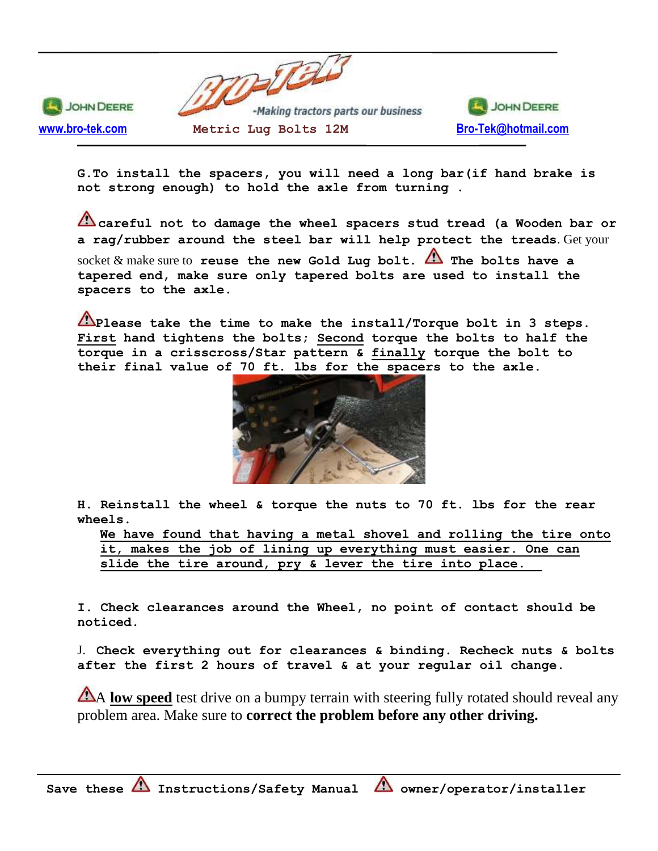

**G.To install the spacers, you will need a long bar(if hand brake is not strong enough) to hold the axle from turning .**

**careful not to damage the wheel spacers stud tread (a Wooden bar or a rag/rubber around the steel bar will help protect the treads**. Get your socket  $\&$  make sure to **reuse** the new Gold Lug bolt.  $\triangle$  The bolts have a **tapered end, make sure only tapered bolts are used to install the spacers to the axle.**

**Please take the time to make the install/Torque bolt in 3 steps. First hand tightens the bolts; Second torque the bolts to half the torque in a crisscross/Star pattern & finally torque the bolt to their final value of 70 ft. lbs for the spacers to the axle.**



**H. Reinstall the wheel & torque the nuts to 70 ft. lbs for the rear wheels.**

**We have found that having a metal shovel and rolling the tire onto it, makes the job of lining up everything must easier. One can slide the tire around, pry & lever the tire into place.**

**I. Check clearances around the Wheel, no point of contact should be noticed.** 

J. **Check everything out for clearances & binding. Recheck nuts & bolts after the first 2 hours of travel & at your regular oil change.** 

A **low speed** test drive on a bumpy terrain with steering fully rotated should reveal any problem area. Make sure to **correct the problem before any other driving.**